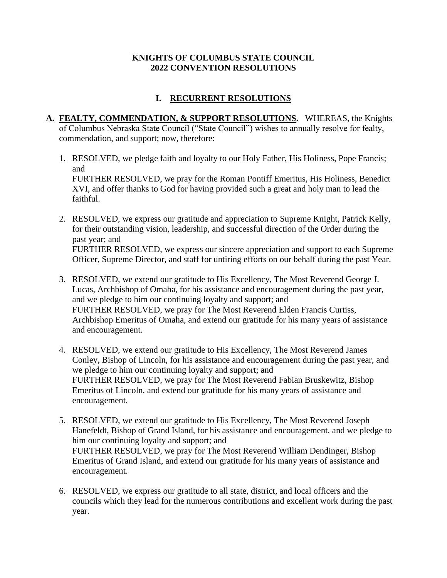### **KNIGHTS OF COLUMBUS STATE COUNCIL 2022 CONVENTION RESOLUTIONS**

# **I. RECURRENT RESOLUTIONS**

- **A. FEALTY, COMMENDATION, & SUPPORT RESOLUTIONS.** WHEREAS, the Knights of Columbus Nebraska State Council ("State Council") wishes to annually resolve for fealty, commendation, and support; now, therefore:
	- 1. RESOLVED, we pledge faith and loyalty to our Holy Father, His Holiness, Pope Francis; and FURTHER RESOLVED, we pray for the Roman Pontiff Emeritus, His Holiness, Benedict XVI, and offer thanks to God for having provided such a great and holy man to lead the faithful.
	- 2. RESOLVED, we express our gratitude and appreciation to Supreme Knight, Patrick Kelly, for their outstanding vision, leadership, and successful direction of the Order during the past year; and FURTHER RESOLVED, we express our sincere appreciation and support to each Supreme Officer, Supreme Director, and staff for untiring efforts on our behalf during the past Year.
	- 3. RESOLVED, we extend our gratitude to His Excellency, The Most Reverend George J. Lucas, Archbishop of Omaha, for his assistance and encouragement during the past year, and we pledge to him our continuing loyalty and support; and FURTHER RESOLVED, we pray for The Most Reverend Elden Francis Curtiss, Archbishop Emeritus of Omaha, and extend our gratitude for his many years of assistance and encouragement.
	- 4. RESOLVED, we extend our gratitude to His Excellency, The Most Reverend James Conley, Bishop of Lincoln, for his assistance and encouragement during the past year, and we pledge to him our continuing loyalty and support; and FURTHER RESOLVED, we pray for The Most Reverend Fabian Bruskewitz, Bishop Emeritus of Lincoln, and extend our gratitude for his many years of assistance and encouragement.
	- 5. RESOLVED, we extend our gratitude to His Excellency, The Most Reverend Joseph Hanefeldt, Bishop of Grand Island, for his assistance and encouragement, and we pledge to him our continuing loyalty and support; and FURTHER RESOLVED, we pray for The Most Reverend William Dendinger, Bishop Emeritus of Grand Island, and extend our gratitude for his many years of assistance and encouragement.
	- 6. RESOLVED, we express our gratitude to all state, district, and local officers and the councils which they lead for the numerous contributions and excellent work during the past year.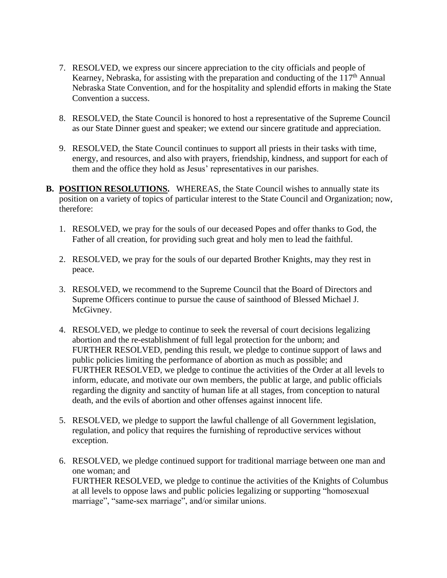- 7. RESOLVED, we express our sincere appreciation to the city officials and people of Kearney, Nebraska, for assisting with the preparation and conducting of the  $117<sup>th</sup>$  Annual Nebraska State Convention, and for the hospitality and splendid efforts in making the State Convention a success.
- 8. RESOLVED, the State Council is honored to host a representative of the Supreme Council as our State Dinner guest and speaker; we extend our sincere gratitude and appreciation.
- 9. RESOLVED, the State Council continues to support all priests in their tasks with time, energy, and resources, and also with prayers, friendship, kindness, and support for each of them and the office they hold as Jesus' representatives in our parishes.
- **B. POSITION RESOLUTIONS.** WHEREAS, the State Council wishes to annually state its position on a variety of topics of particular interest to the State Council and Organization; now, therefore:
	- 1. RESOLVED, we pray for the souls of our deceased Popes and offer thanks to God, the Father of all creation, for providing such great and holy men to lead the faithful.
	- 2. RESOLVED, we pray for the souls of our departed Brother Knights, may they rest in peace.
	- 3. RESOLVED, we recommend to the Supreme Council that the Board of Directors and Supreme Officers continue to pursue the cause of sainthood of Blessed Michael J. McGivney.
	- 4. RESOLVED, we pledge to continue to seek the reversal of court decisions legalizing abortion and the re-establishment of full legal protection for the unborn; and FURTHER RESOLVED, pending this result, we pledge to continue support of laws and public policies limiting the performance of abortion as much as possible; and FURTHER RESOLVED, we pledge to continue the activities of the Order at all levels to inform, educate, and motivate our own members, the public at large, and public officials regarding the dignity and sanctity of human life at all stages, from conception to natural death, and the evils of abortion and other offenses against innocent life.
	- 5. RESOLVED, we pledge to support the lawful challenge of all Government legislation, regulation, and policy that requires the furnishing of reproductive services without exception.
	- 6. RESOLVED, we pledge continued support for traditional marriage between one man and one woman; and FURTHER RESOLVED, we pledge to continue the activities of the Knights of Columbus at all levels to oppose laws and public policies legalizing or supporting "homosexual marriage", "same-sex marriage", and/or similar unions.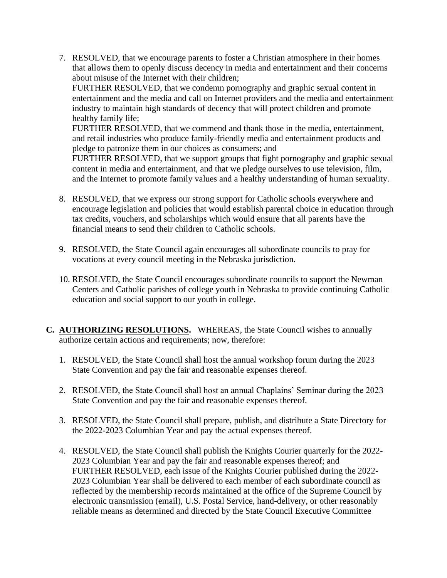7. RESOLVED, that we encourage parents to foster a Christian atmosphere in their homes that allows them to openly discuss decency in media and entertainment and their concerns about misuse of the Internet with their children;

FURTHER RESOLVED, that we condemn pornography and graphic sexual content in entertainment and the media and call on Internet providers and the media and entertainment industry to maintain high standards of decency that will protect children and promote healthy family life;

FURTHER RESOLVED, that we commend and thank those in the media, entertainment, and retail industries who produce family-friendly media and entertainment products and pledge to patronize them in our choices as consumers; and

FURTHER RESOLVED, that we support groups that fight pornography and graphic sexual content in media and entertainment, and that we pledge ourselves to use television, film, and the Internet to promote family values and a healthy understanding of human sexuality.

- 8. RESOLVED, that we express our strong support for Catholic schools everywhere and encourage legislation and policies that would establish parental choice in education through tax credits, vouchers, and scholarships which would ensure that all parents have the financial means to send their children to Catholic schools.
- 9. RESOLVED, the State Council again encourages all subordinate councils to pray for vocations at every council meeting in the Nebraska jurisdiction.
- 10. RESOLVED, the State Council encourages subordinate councils to support the Newman Centers and Catholic parishes of college youth in Nebraska to provide continuing Catholic education and social support to our youth in college.
- **C. AUTHORIZING RESOLUTIONS.** WHEREAS, the State Council wishes to annually authorize certain actions and requirements; now, therefore:
	- 1. RESOLVED, the State Council shall host the annual workshop forum during the 2023 State Convention and pay the fair and reasonable expenses thereof.
	- 2. RESOLVED, the State Council shall host an annual Chaplains' Seminar during the 2023 State Convention and pay the fair and reasonable expenses thereof.
	- 3. RESOLVED, the State Council shall prepare, publish, and distribute a State Directory for the 2022-2023 Columbian Year and pay the actual expenses thereof.
	- 4. RESOLVED, the State Council shall publish the Knights Courier quarterly for the 2022- 2023 Columbian Year and pay the fair and reasonable expenses thereof; and FURTHER RESOLVED, each issue of the Knights Courier published during the 2022- 2023 Columbian Year shall be delivered to each member of each subordinate council as reflected by the membership records maintained at the office of the Supreme Council by electronic transmission (email), U.S. Postal Service, hand-delivery, or other reasonably reliable means as determined and directed by the State Council Executive Committee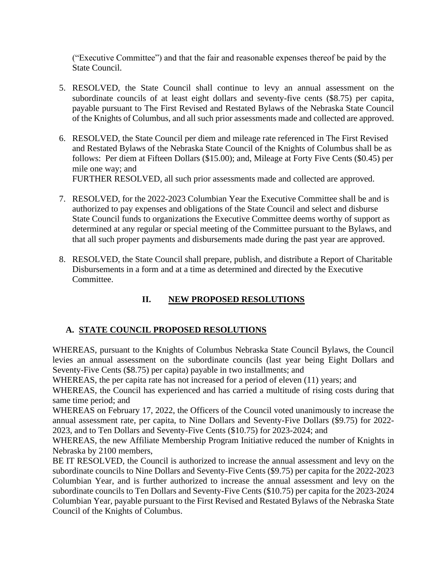("Executive Committee") and that the fair and reasonable expenses thereof be paid by the State Council.

- 5. RESOLVED, the State Council shall continue to levy an annual assessment on the subordinate councils of at least eight dollars and seventy-five cents (\$8.75) per capita, payable pursuant to The First Revised and Restated Bylaws of the Nebraska State Council of the Knights of Columbus, and all such prior assessments made and collected are approved.
- 6. RESOLVED, the State Council per diem and mileage rate referenced in The First Revised and Restated Bylaws of the Nebraska State Council of the Knights of Columbus shall be as follows: Per diem at Fifteen Dollars (\$15.00); and, Mileage at Forty Five Cents (\$0.45) per mile one way; and

FURTHER RESOLVED, all such prior assessments made and collected are approved.

- 7. RESOLVED, for the 2022-2023 Columbian Year the Executive Committee shall be and is authorized to pay expenses and obligations of the State Council and select and disburse State Council funds to organizations the Executive Committee deems worthy of support as determined at any regular or special meeting of the Committee pursuant to the Bylaws, and that all such proper payments and disbursements made during the past year are approved.
- 8. RESOLVED, the State Council shall prepare, publish, and distribute a Report of Charitable Disbursements in a form and at a time as determined and directed by the Executive Committee.

## **II. NEW PROPOSED RESOLUTIONS**

### **A. STATE COUNCIL PROPOSED RESOLUTIONS**

WHEREAS, pursuant to the Knights of Columbus Nebraska State Council Bylaws, the Council levies an annual assessment on the subordinate councils (last year being Eight Dollars and Seventy-Five Cents (\$8.75) per capita) payable in two installments; and

WHEREAS, the per capita rate has not increased for a period of eleven (11) years; and

WHEREAS, the Council has experienced and has carried a multitude of rising costs during that same time period; and

WHEREAS on February 17, 2022, the Officers of the Council voted unanimously to increase the annual assessment rate, per capita, to Nine Dollars and Seventy-Five Dollars (\$9.75) for 2022- 2023, and to Ten Dollars and Seventy-Five Cents (\$10.75) for 2023-2024; and

WHEREAS, the new Affiliate Membership Program Initiative reduced the number of Knights in Nebraska by 2100 members,

BE IT RESOLVED, the Council is authorized to increase the annual assessment and levy on the subordinate councils to Nine Dollars and Seventy-Five Cents (\$9.75) per capita for the 2022-2023 Columbian Year, and is further authorized to increase the annual assessment and levy on the subordinate councils to Ten Dollars and Seventy-Five Cents (\$10.75) per capita for the 2023-2024 Columbian Year, payable pursuant to the First Revised and Restated Bylaws of the Nebraska State Council of the Knights of Columbus.